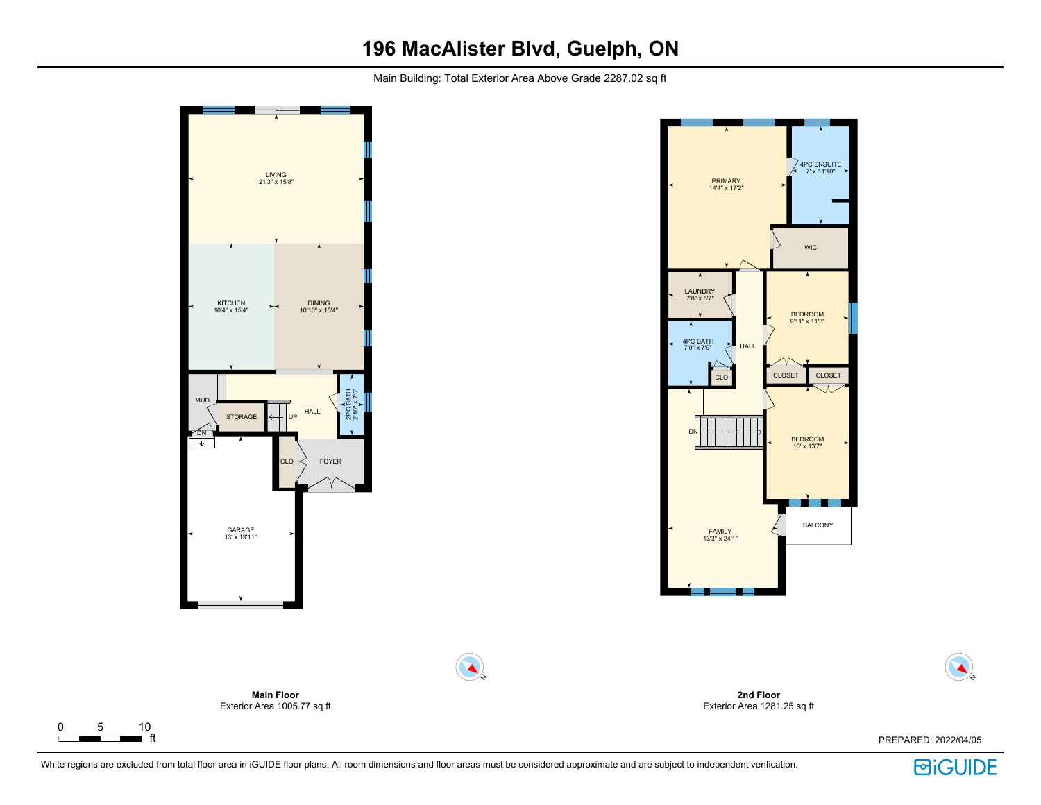## **196 MacAlister Blvd, Guelph, ON**

Main Building: Total Exterior Area Above Grade 2287.02 sq ft



 $\Gamma$ 

**BiGUIDE**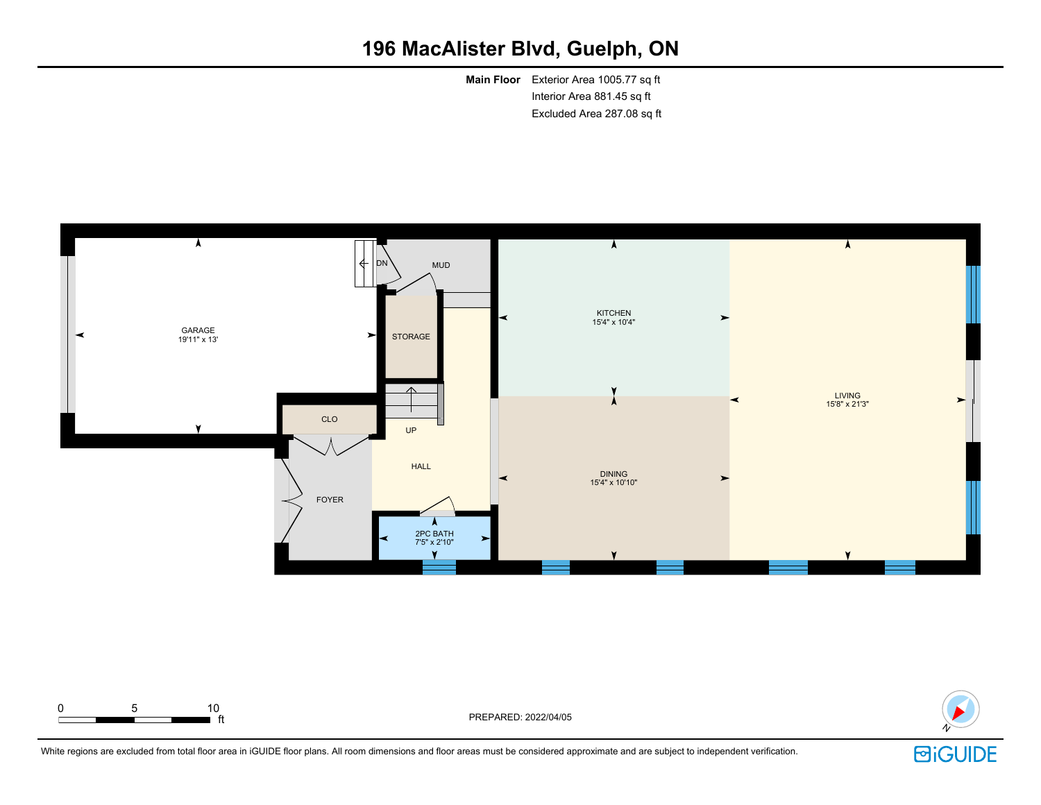# **196 MacAlister Blvd, Guelph, ON**

**Main Floor** Exterior Area 1005.77 sq ft Interior Area 881.45 sq ft Excluded Area 287.08 sq ft





ft PREPARED: 2022/04/05



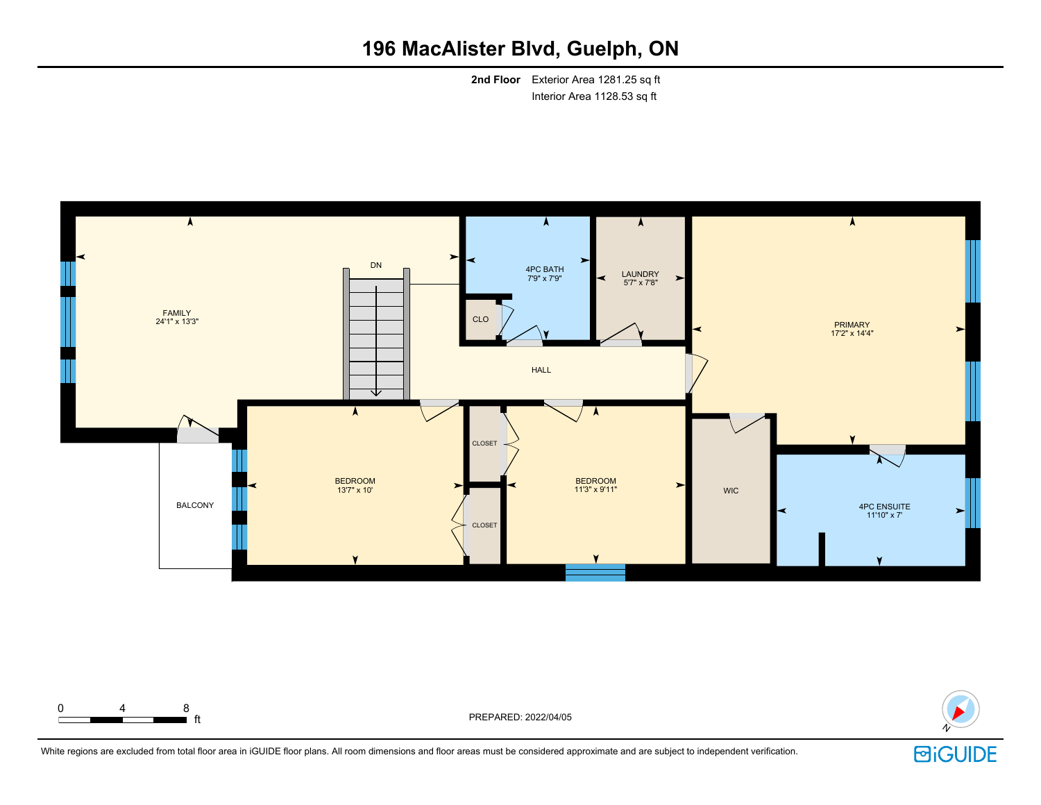# **196 MacAlister Blvd, Guelph, ON**

**2nd Floor** Exterior Area 1281.25 sq ft Interior Area 1128.53 sq ft





 $\int_{0}^{\pi}$  ft

White regions are excluded from total floor area in iGUIDE floor plans. All room dimensions and floor areas must be considered approximate and are subject to independent verification.

0 4 8

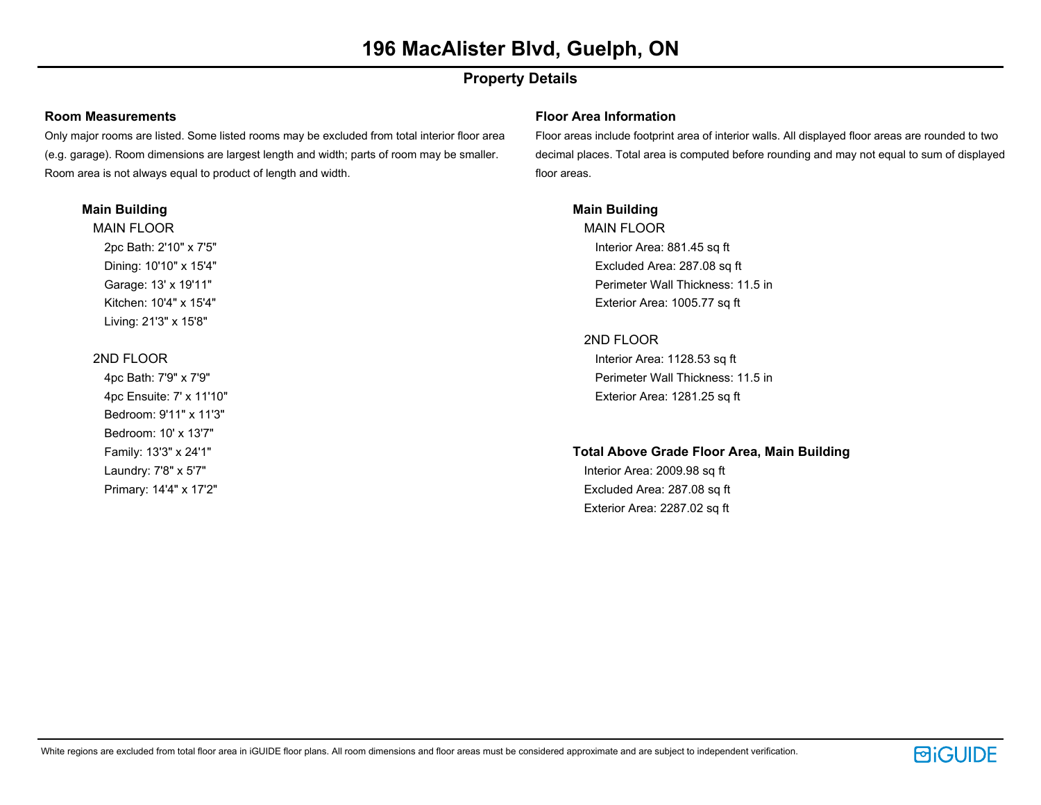## **Property Details**

### **Room Measurements**

Only major rooms are listed. Some listed rooms may be excluded from total interior floor area (e.g. garage). Room dimensions are largest length and width; parts of room may be smaller. Room area is not always equal to product of length and width.

### **Main Building**

MAIN FLOOR 2pc Bath: 2'10" x 7'5" Dining: 10'10" x 15'4" Garage: 13' x 19'11" Kitchen: 10'4" x 15'4" Living: 21'3" x 15'8"

## 2ND FLOOR

4pc Bath: 7'9" x 7'9" 4pc Ensuite: 7' x 11'10" Bedroom: 9'11" x 11'3" Bedroom: 10' x 13'7" Family: 13'3" x 24'1" Laundry: 7'8" x 5'7" Primary: 14'4" x 17'2"

### **Floor Area Information**

Floor areas include footprint area of interior walls. All displayed floor areas are rounded to two decimal places. Total area is computed before rounding and may not equal to sum of displayed floor areas.

## **Main Building**

MAIN FLOOR Interior Area: 881.45 sq ft Excluded Area: 287.08 sq ft Perimeter Wall Thickness: 11.5 in Exterior Area: 1005.77 sq ft

## 2ND FLOOR

Interior Area: 1128.53 sq ft Perimeter Wall Thickness: 11.5 in Exterior Area: 1281.25 sq ft

## **Total Above Grade Floor Area, Main Building**

Interior Area: 2009.98 sq ft Excluded Area: 287.08 sq ft Exterior Area: 2287.02 sq ft